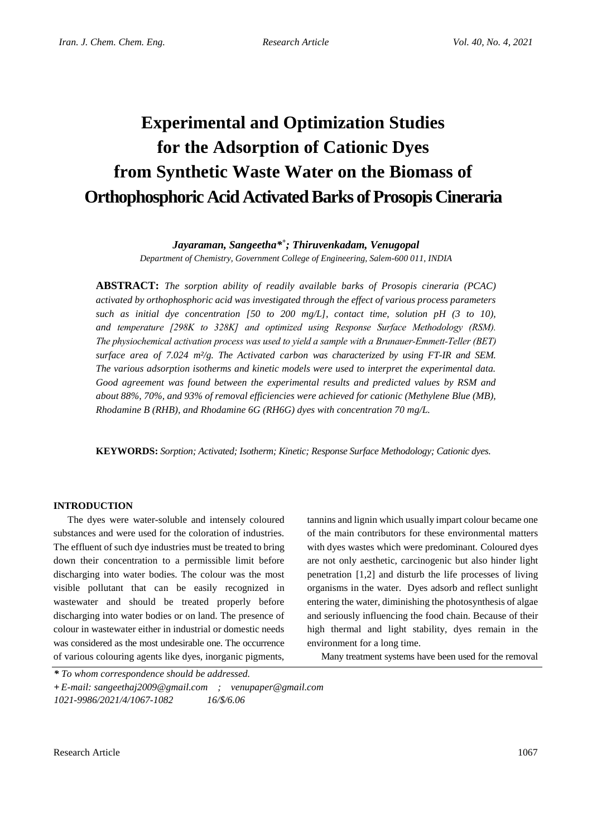# **Experimental and Optimization Studies for the Adsorption of Cationic Dyes from Synthetic Waste Water on the Biomass of Orthophosphoric Acid Activated Barks of Prosopis Cineraria**

## *Jayaraman, Sangeetha\* + ; Thiruvenkadam, Venugopal*

*Department of Chemistry, Government College of Engineering, Salem-600 011, INDIA*

**ABSTRACT:** *The sorption ability of readily available barks of Prosopis cineraria (PCAC) activated by orthophosphoric acid was investigated through the effect of various process parameters such as initial dye concentration [50 to 200 mg/L], contact time, solution pH (3 to 10), and temperature [298K to 328K] and optimized using Response Surface Methodology (RSM). The physiochemical activation process was used to yield a sample with a Brunauer-Emmett-Teller (BET) surface area of 7.024 m²/g. The Activated carbon was characterized by using FT-IR and SEM. The various adsorption isotherms and kinetic models were used to interpret the experimental data. Good agreement was found between the experimental results and predicted values by RSM and about 88%, 70%, and 93% of removal efficiencies were achieved for cationic (Methylene Blue (MB), Rhodamine B (RHB), and Rhodamine 6G (RH6G) dyes with concentration 70 mg/L.*

**KEYWORDS:** *Sorption; Activated; Isotherm; Kinetic; Response Surface Methodology; Cationic dyes.*

## **INTRODUCTION**

The dyes were water-soluble and intensely coloured substances and were used for the coloration of industries. The effluent of such dye industries must be treated to bring down their concentration to a permissible limit before discharging into water bodies. The colour was the most visible pollutant that can be easily recognized in wastewater and should be treated properly before discharging into water bodies or on land. The presence of colour in wastewater either in industrial or domestic needs was considered as the most undesirable one. The occurrence of various colouring agents like dyes, inorganic pigments,

tannins and lignin which usually impart colour became one of the main contributors for these environmental matters with dyes wastes which were predominant. Coloured dyes are not only aesthetic, carcinogenic but also hinder light penetration [1,2] and disturb the life processes of living organisms in the water. Dyes adsorb and reflect sunlight entering the water, diminishing the photosynthesis of algae and seriously influencing the food chain. Because of their high thermal and light stability, dyes remain in the environment for a long time.

Many treatment systems have been used for the removal

*<sup>\*</sup> To whom correspondence should be addressed.*

**<sup>+</sup>** *E-mail: sangeethaj2009@gmail.com ; venupaper@gmail.com 1021-9986/2021/4/1067-1082 16/\$/6.06*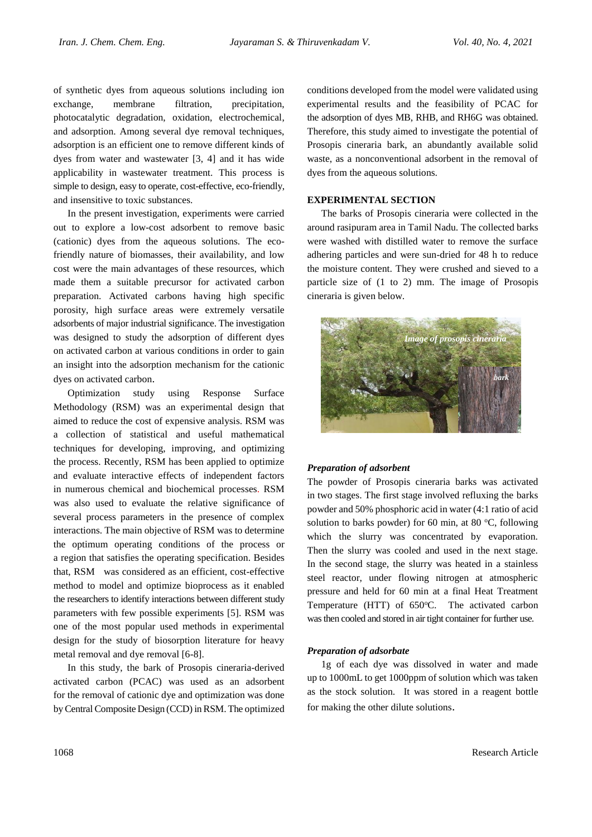of synthetic dyes from aqueous solutions including ion exchange, membrane filtration, precipitation, photocatalytic degradation, oxidation, electrochemical, and adsorption. Among several dye removal techniques, adsorption is an efficient one to remove different kinds of dyes from water and wastewater [3, 4] and it has wide applicability in wastewater treatment. This process is simple to design, easy to operate, cost-effective, eco-friendly, and insensitive to toxic substances.

In the present investigation, experiments were carried out to explore a low-cost adsorbent to remove basic (cationic) dyes from the aqueous solutions. The ecofriendly nature of biomasses, their availability, and low cost were the main advantages of these resources, which made them a suitable precursor for activated carbon preparation. Activated carbons having high specific porosity, high surface areas were extremely versatile adsorbents of major industrial significance. The investigation was designed to study the adsorption of different dyes on activated carbon at various conditions in order to gain an insight into the adsorption mechanism for the cationic dyes on activated carbon.

Optimization study using Response Surface Methodology (RSM) was an experimental design that aimed to reduce the cost of expensive analysis. RSM was a collection of statistical and useful mathematical techniques for developing, improving, and optimizing the process. Recently, RSM has been applied to optimize and evaluate interactive effects of independent factors in numerous chemical and biochemical processes. RSM was also used to evaluate the relative significance of several process parameters in the presence of complex interactions. The main objective of RSM was to determine the optimum operating conditions of the process or a region that satisfies the operating specification. Besides that, RSM was considered as an efficient, cost-effective method to model and optimize bioprocess as it enabled the researchers to identify interactions between different study parameters with few possible experiments [5]. RSM was one of the most popular used methods in experimental design for the study of biosorption literature for heavy metal removal and dye removal [6-8].

In this study, the bark of Prosopis cineraria-derived activated carbon (PCAC) was used as an adsorbent for the removal of cationic dye and optimization was done by Central Composite Design (CCD) in RSM. The optimized

conditions developed from the model were validated using experimental results and the feasibility of PCAC for the adsorption of dyes MB, RHB, and RH6G was obtained. Therefore, this study aimed to investigate the potential of Prosopis cineraria bark, an abundantly available solid waste, as a nonconventional adsorbent in the removal of dyes from the aqueous solutions.

## **EXPERIMENTAL SECTION**

The barks of Prosopis cineraria were collected in the around rasipuram area in Tamil Nadu. The collected barks were washed with distilled water to remove the surface adhering particles and were sun-dried for 48 h to reduce the moisture content. They were crushed and sieved to a particle size of (1 to 2) mm. The image of Prosopis cineraria is given below.



## *Preparation of adsorbent*

The powder of Prosopis cineraria barks was activated in two stages. The first stage involved refluxing the barks powder and 50% phosphoric acid in water (4:1 ratio of acid solution to barks powder) for 60 min, at 80  $^{\circ}$ C, following which the slurry was concentrated by evaporation. Then the slurry was cooled and used in the next stage. In the second stage, the slurry was heated in a stainless steel reactor, under flowing nitrogen at atmospheric pressure and held for 60 min at a final Heat Treatment Temperature (HTT) of  $650^{\circ}$ C. The activated carbon was then cooled and stored in air tight container for further use.

#### *Preparation of adsorbate*

1g of each dye was dissolved in water and made up to 1000mL to get 1000ppm of solution which was taken as the stock solution. It was stored in a reagent bottle for making the other dilute solutions.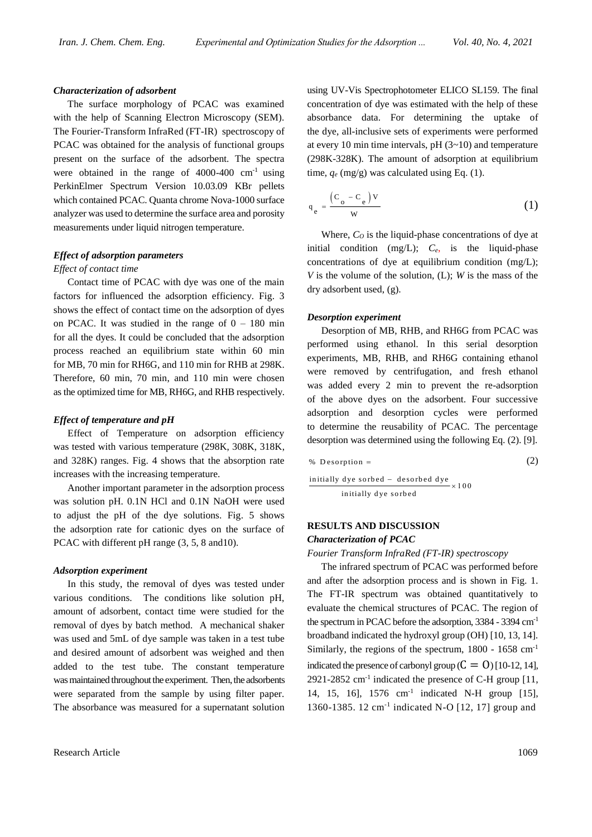#### *Characterization of adsorbent*

The surface morphology of PCAC was examined with the help of Scanning Electron Microscopy (SEM). The Fourier-Transform InfraRed (FT-IR) spectroscopy of PCAC was obtained for the analysis of functional groups present on the surface of the adsorbent. The spectra were obtained in the range of  $4000-400$  cm<sup>-1</sup> using PerkinElmer Spectrum Version 10.03.09 KBr pellets which contained PCAC. Quanta chrome Nova-1000 surface analyzer was used to determine the surface area and porosity measurements under liquid nitrogen temperature.

## *Effect of adsorption parameters*

## *Effect of contact time*

Contact time of PCAC with dye was one of the main factors for influenced the adsorption efficiency. Fig. 3 shows the effect of contact time on the adsorption of dyes on PCAC. It was studied in the range of  $0 - 180$  min for all the dyes. It could be concluded that the adsorption process reached an equilibrium state within 60 min for MB, 70 min for RH6G, and 110 min for RHB at 298K. Therefore, 60 min, 70 min, and 110 min were chosen as the optimized time for MB, RH6G, and RHB respectively.

#### *Effect of temperature and pH*

Effect of Temperature on adsorption efficiency was tested with various temperature (298K, 308K, 318K, and 328K) ranges. Fig. 4 shows that the absorption rate increases with the increasing temperature.

Another important parameter in the adsorption process was solution pH. 0.1N HCl and 0.1N NaOH were used to adjust the pH of the dye solutions. Fig. 5 shows the adsorption rate for cationic dyes on the surface of PCAC with different pH range  $(3, 5, 8 \text{ and } 10)$ .

#### *Adsorption experiment*

In this study, the removal of dyes was tested under various conditions. The conditions like solution pH, amount of adsorbent, contact time were studied for the removal of dyes by batch method. A mechanical shaker was used and 5mL of dye sample was taken in a test tube and desired amount of adsorbent was weighed and then added to the test tube. The constant temperature was maintained throughout the experiment. Then, the adsorbents were separated from the sample by using filter paper. The absorbance was measured for a supernatant solution

using UV-Vis Spectrophotometer ELICO SL159. The final concentration of dye was estimated with the help of these absorbance data. For determining the uptake of the dye, all-inclusive sets of experiments were performed at every 10 min time intervals, pH (3~10) and temperature (298K-328K). The amount of adsorption at equilibrium time,  $q_e$  (mg/g) was calculated using Eq. (1).

$$
q_e = \frac{(C_o - C_e)v}{w}
$$
 (1)

Where,  $C<sub>O</sub>$  is the liquid-phase concentrations of dye at initial condition (mg/L); *Ce*, is the liquid-phase concentrations of dye at equilibrium condition (mg/L); *V* is the volume of the solution, (L); *W* is the mass of the dry adsorbent used, (g).

#### *Desorption experiment*

Desorption of MB, RHB, and RH6G from PCAC was performed using ethanol. In this serial desorption experiments, MB, RHB, and RH6G containing ethanol were removed by centrifugation, and fresh ethanol was added every 2 min to prevent the re-adsorption of the above dyes on the adsorbent. Four successive adsorption and desorption cycles were performed to determine the reusability of PCAC. The percentage desorption was determined using the following Eq. (2). [9].

$$
\% Desorption = \t(2)
$$

initially dye sorbed – desorbed dye<br> $\times 100$ initially dye sorbed

## **RESULTS AND DISCUSSION**

## *Characterization of PCAC*

#### *Fourier Transform InfraRed (FT-IR) spectroscopy*

The infrared spectrum of PCAC was performed before and after the adsorption process and is shown in Fig. 1. The FT-IR spectrum was obtained quantitatively to evaluate the chemical structures of PCAC. The region of the spectrum in PCAC before the adsorption, 3384 - 3394 cm-1 broadband indicated the hydroxyl group (OH) [10, 13, 14]. Similarly, the regions of the spectrum, 1800 - 1658 cm-1 indicated the presence of carbonyl group  $(C = 0)$  [10-12, 14], 2921-2852  $cm^{-1}$  indicated the presence of C-H group [11, 14, 15, 16], 1576 cm-1 indicated N-H group [15], 1360-1385. 12 cm-1 indicated N-O [12, 17] group and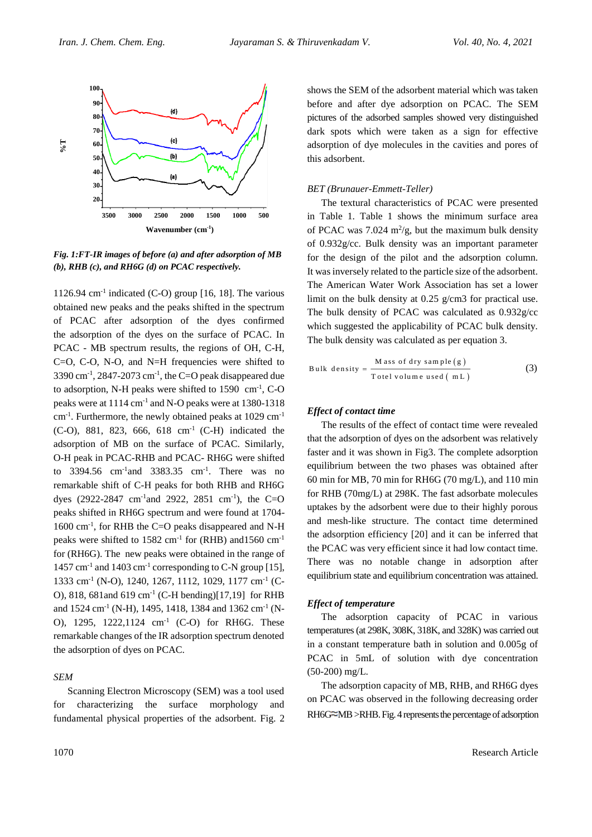

*Fig. 1:FT-IR images of before (a) and after adsorption of MB (b), RHB (c), and RH6G (d) on PCAC respectively.* 

1126.94  $\text{cm}$ <sup>-1</sup> indicated (C-O) group [16, 18]. The various obtained new peaks and the peaks shifted in the spectrum of PCAC after adsorption of the dyes confirmed the adsorption of the dyes on the surface of PCAC. In PCAC - MB spectrum results, the regions of OH, C-H, C=O, C-O, N-O, and N=H frequencies were shifted to 3390 cm<sup>-1</sup>, 2847-2073 cm<sup>-1</sup>, the C=O peak disappeared due to adsorption, N-H peaks were shifted to 1590 cm<sup>-1</sup>, C-O peaks were at 1114 cm-1 and N-O peaks were at 1380-1318 cm<sup>-1</sup>. Furthermore, the newly obtained peaks at 1029 cm<sup>-1</sup> (C-O), 881, 823, 666, 618 cm-1 (C-H) indicated the adsorption of MB on the surface of PCAC. Similarly, O-H peak in PCAC-RHB and PCAC- RH6G were shifted to  $3394.56$  cm<sup>-1</sup> and  $3383.35$  cm<sup>-1</sup>. There was no remarkable shift of C-H peaks for both RHB and RH6G dyes (2922-2847 cm<sup>-1</sup>and 2922, 2851 cm<sup>-1</sup>), the C=O peaks shifted in RH6G spectrum and were found at 1704- 1600 cm<sup>-1</sup>, for RHB the C=O peaks disappeared and N-H peaks were shifted to  $1582 \text{ cm}^{-1}$  for (RHB) and  $1560 \text{ cm}^{-1}$ for (RH6G). The new peaks were obtained in the range of 1457 cm-1 and 1403 cm-1 corresponding to C-N group [15], 1333 cm<sup>-1</sup> (N-O), 1240, 1267, 1112, 1029, 1177 cm<sup>-1</sup> (C-O), 818, 681and 619 cm-1 (C-H bending)[17,19] for RHB and 1524 cm<sup>-1</sup> (N-H), 1495, 1418, 1384 and 1362 cm<sup>-1</sup> (N-O), 1295, 1222,1124 cm-1 (C-O) for RH6G. These remarkable changes of the IR adsorption spectrum denoted the adsorption of dyes on PCAC.

#### *SEM*

Scanning Electron Microscopy (SEM) was a tool used for characterizing the surface morphology and fundamental physical properties of the adsorbent. Fig. 2

shows the SEM of the adsorbent material which was taken before and after dye adsorption on PCAC. The SEM pictures of the adsorbed samples showed very distinguished dark spots which were taken as a sign for effective adsorption of dye molecules in the cavities and pores of this adsorbent.

## *BET (Brunauer-Emmett-Teller)*

The textural characteristics of PCAC were presented in Table 1. Table 1 shows the minimum surface area of PCAC was  $7.024 \text{ m}^2/\text{g}$ , but the maximum bulk density of 0.932g/cc. Bulk density was an important parameter for the design of the pilot and the adsorption column. It was inversely related to the particle size of the adsorbent. The American Water Work Association has set a lower limit on the bulk density at 0.25 g/cm3 for practical use. The bulk density of PCAC was calculated as 0.932g/cc which suggested the applicability of PCAC bulk density. The bulk density was calculated as per equation 3.

Bulk density = 
$$
\frac{\text{Mass of dry sample (g)}}{\text{Total volume used (mL)}}
$$
(3)

## *Effect of contact time*

The results of the effect of contact time were revealed that the adsorption of dyes on the adsorbent was relatively faster and it was shown in Fig3. The complete adsorption equilibrium between the two phases was obtained after 60 min for MB, 70 min for RH6G (70 mg/L), and 110 min for RHB (70mg/L) at 298K. The fast adsorbate molecules uptakes by the adsorbent were due to their highly porous and mesh-like structure. The contact time determined the adsorption efficiency [20] and it can be inferred that the PCAC was very efficient since it had low contact time. There was no notable change in adsorption after equilibrium state and equilibrium concentration was attained.

## *Effect of temperature*

The adsorption capacity of PCAC in various temperatures (at 298K, 308K, 318K, and 328K) was carried out in a constant temperature bath in solution and 0.005g of PCAC in 5mL of solution with dye concentration (50-200) mg/L.

The adsorption capacity of MB, RHB, and RH6G dyes on PCAC was observed in the following decreasing order  $RH$ 6G $\cong$ MB  $>$ RHB. Fig. 4 represents the percentage of adsorption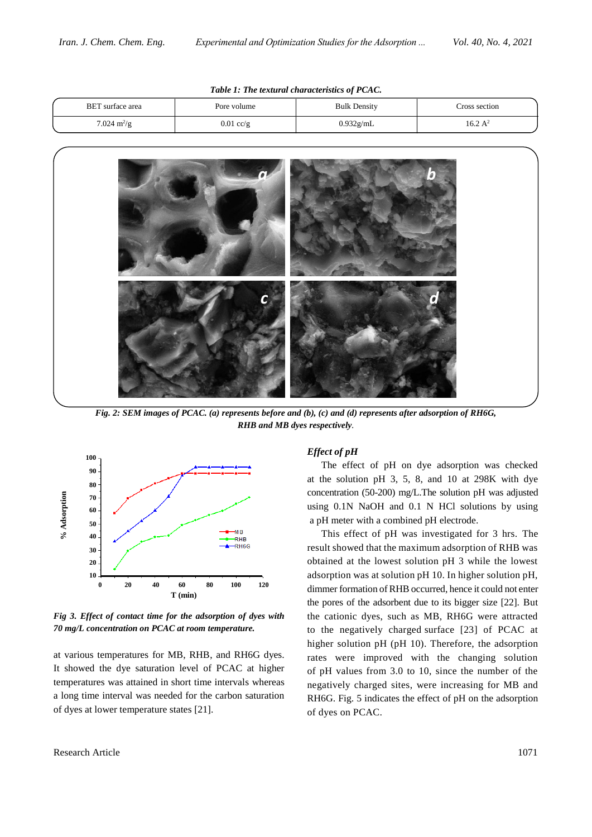| BET surface area             | Pore volume | <b>Bulk Density</b> | ross section       |
|------------------------------|-------------|---------------------|--------------------|
| $7.024 \text{ m}^2/\text{g}$ | $0.01$ cc/g | 0.932g/mL           | $16.2\ \text{A}^2$ |

*Table 1: The textural characteristics of PCAC.*



*Fig. 2: SEM images of PCAC. (a) represents before and (b), (c) and (d) represents after adsorption of RH6G, RHB and MB dyes respectively.*



*Fig 3. Effect of contact time for the adsorption of dyes with 70 mg/L concentration on PCAC at room temperature.*

at various temperatures for MB, RHB, and RH6G dyes. It showed the dye saturation level of PCAC at higher temperatures was attained in short time intervals whereas a long time interval was needed for the carbon saturation of dyes at lower temperature states [21].

## *Effect of pH*

The effect of pH on dye adsorption was checked at the solution pH 3, 5, 8, and 10 at 298K with dye concentration (50-200) mg/L.The solution pH was adjusted using 0.1N NaOH and 0.1 N HCl solutions by using a pH meter with a combined pH electrode.

This effect of pH was investigated for 3 hrs. The result showed that the maximum adsorption of RHB was obtained at the lowest solution pH 3 while the lowest adsorption was at solution pH 10. In higher solution pH, dimmer formation of RHB occurred, hence it could not enter the pores of the adsorbent due to its bigger size [22]. But the cationic dyes, such as MB, RH6G were attracted to the negatively charged surface [23] of PCAC at higher solution pH (pH 10). Therefore, the adsorption rates were improved with the changing solution of pH values from 3.0 to 10, since the number of the negatively charged sites, were increasing for MB and RH6G. Fig. 5 indicates the effect of pH on the adsorption of dyes on PCAC.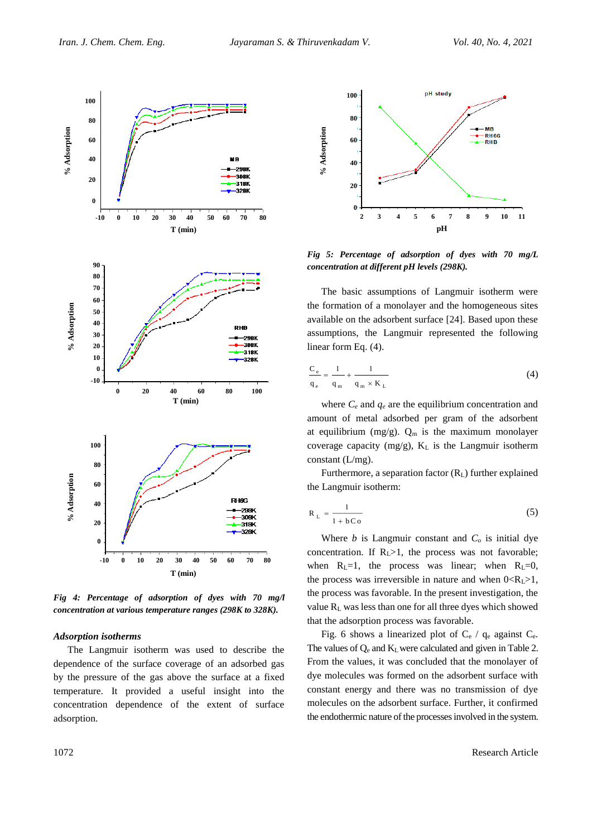

*Fig 4: Percentage of adsorption of dyes with 70 mg/l concentration at various temperature ranges (298K to 328K).* 

## *Adsorption isotherms*

The Langmuir isotherm was used to describe the dependence of the surface coverage of an adsorbed gas by the pressure of the gas above the surface at a fixed temperature. It provided a useful insight into the concentration dependence of the extent of surface adsorption.



*Fig 5: Percentage of adsorption of dyes with 70 mg/L concentration at different pH levels (298K).*

The basic assumptions of Langmuir isotherm were the formation of a monolayer and the homogeneous sites available on the adsorbent surface [24]. Based upon these assumptions, the Langmuir represented the following linear form Eq. (4).

$$
\frac{C_e}{q_e} = \frac{1}{q_m} + \frac{1}{q_m \times K_L}
$$
 (4)

where  $C_e$  and  $q_e$  are the equilibrium concentration and amount of metal adsorbed per gram of the adsorbent at equilibrium (mg/g).  $Q_m$  is the maximum monolayer coverage capacity (mg/g), K<sup>L</sup> is the Langmuir isotherm constant (L/mg).

Furthermore, a separation factor  $(R_L)$  further explained the Langmuir isotherm:

$$
R_{L} = \frac{1}{1 + bCo}
$$
 (5)

Where  $b$  is Langmuir constant and  $C<sub>o</sub>$  is initial dye concentration. If  $R<sub>L</sub> > 1$ , the process was not favorable; when  $R_L=1$ , the process was linear; when  $R_L=0$ , the process was irreversible in nature and when  $0 < R_1 > 1$ , the process was favorable. In the present investigation, the value  $R<sub>L</sub>$  was less than one for all three dyes which showed that the adsorption process was favorable.

Fig. 6 shows a linearized plot of  $C_e$  /  $q_e$  against  $C_e$ . The values of  $Q_e$  and  $K_L$  were calculated and given in Table 2. From the values, it was concluded that the monolayer of dye molecules was formed on the adsorbent surface with constant energy and there was no transmission of dye molecules on the adsorbent surface. Further, it confirmed the endothermic nature of the processes involved in the system.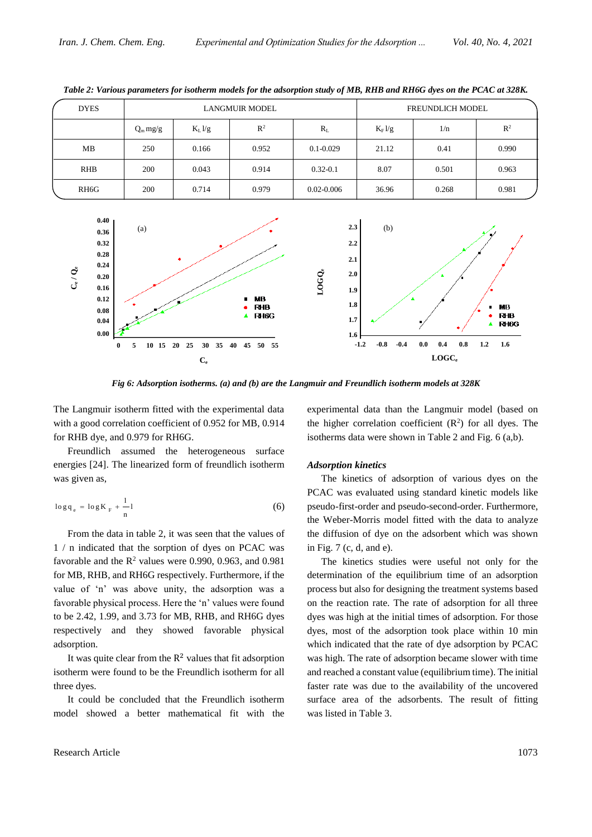| <b>DYES</b>       |            |                   | LANGMUR MODEL |                | FREUNDLICH MODEL  |       |                |
|-------------------|------------|-------------------|---------------|----------------|-------------------|-------|----------------|
|                   | $Q_m mg/g$ | $K_L \frac{1}{g}$ | $R^2$         | $R_L$          | $K_F \frac{1}{g}$ | 1/n   | $\mathbb{R}^2$ |
| MB                | 250        | 0.166             | 0.952         | $0.1 - 0.029$  | 21.12             | 0.41  | 0.990          |
| <b>RHB</b>        | 200        | 0.043             | 0.914         | $0.32 - 0.1$   | 8.07              | 0.501 | 0.963          |
| RH <sub>6</sub> G | 200        | 0.714             | 0.979         | $0.02 - 0.006$ | 36.96             | 0.268 | 0.981          |

*Table 2: Various parameters for isotherm models for the adsorption study of MB, RHB and RH6G dyes on the PCAC at 328K.*



*Fig 6: Adsorption isotherms. (a) and (b) are the Langmuir and Freundlich isotherm models at 328K*

The Langmuir isotherm fitted with the experimental data with a good correlation coefficient of 0.952 for MB, 0.914 for RHB dye, and 0.979 for RH6G.

Freundlich assumed the heterogeneous surface energies [24]. The linearized form of freundlich isotherm was given as,

$$
\log q_e = \log K_F + \frac{1}{n} \tag{6}
$$

From the data in table 2, it was seen that the values of 1 / n indicated that the sorption of dyes on PCAC was favorable and the  $R^2$  values were 0.990, 0.963, and 0.981 for MB, RHB, and RH6G respectively. Furthermore, if the value of 'n' was above unity, the adsorption was a favorable physical process. Here the 'n' values were found to be 2.42, 1.99, and 3.73 for MB, RHB, and RH6G dyes respectively and they showed favorable physical adsorption.

It was quite clear from the  $R<sup>2</sup>$  values that fit adsorption isotherm were found to be the Freundlich isotherm for all three dyes.

It could be concluded that the Freundlich isotherm model showed a better mathematical fit with the

Research Article 1073

experimental data than the Langmuir model (based on the higher correlation coefficient  $(R^2)$  for all dyes. The isotherms data were shown in Table 2 and Fig. 6 (a,b).

#### *Adsorption kinetics*

The kinetics of adsorption of various dyes on the PCAC was evaluated using standard kinetic models like pseudo-first-order and pseudo-second-order. Furthermore, the Weber-Morris model fitted with the data to analyze the diffusion of dye on the adsorbent which was shown in Fig. 7 (c, d, and e).

The kinetics studies were useful not only for the determination of the equilibrium time of an adsorption process but also for designing the treatment systems based on the reaction rate. The rate of adsorption for all three dyes was high at the initial times of adsorption. For those dyes, most of the adsorption took place within 10 min which indicated that the rate of dye adsorption by PCAC was high. The rate of adsorption became slower with time and reached a constant value (equilibrium time). The initial faster rate was due to the availability of the uncovered surface area of the adsorbents. The result of fitting was listed in Table 3.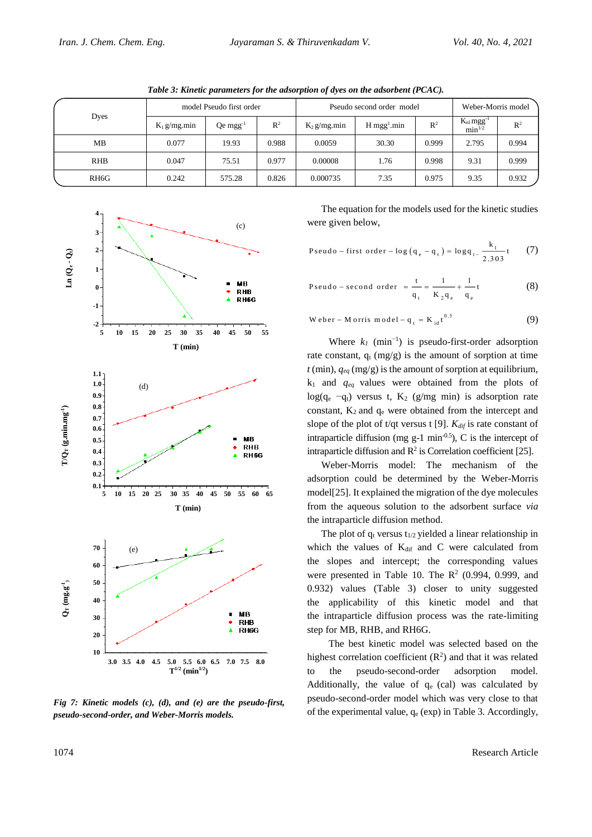| Table 3: Kinetic parameters for the adsorption of dyes on the adsorbent (PCAC). |                          |                        |                |                           |                           |       |                                           |                |  |  |
|---------------------------------------------------------------------------------|--------------------------|------------------------|----------------|---------------------------|---------------------------|-------|-------------------------------------------|----------------|--|--|
|                                                                                 | model Pseudo first order |                        |                | Pseudo second order model |                           |       | Weber-Morris model                        |                |  |  |
| Dyes                                                                            | $K_1$ g/mg.min           | $Qe$ mgg <sup>-1</sup> | $\mathbb{R}^2$ | $K_2$ g/mg.min            | $H$ mgg <sup>1</sup> .min | $R^2$ | $K_{id}$ mgg <sup>-1</sup><br>$min^{1/2}$ | R <sup>2</sup> |  |  |
| MB                                                                              | 0.077                    | 19.93                  | 0.988          | 0.0059                    | 30.30                     | 0.999 | 2.795                                     | 0.994          |  |  |
| <b>RHB</b>                                                                      | 0.047                    | 75.51                  | 0.977          | 0.00008                   | 1.76                      | 0.998 | 9.31                                      | 0.999          |  |  |
| RH <sub>6</sub> G                                                               | 0.242                    | 575.28                 | 0.826          | 0.000735                  | 7.35                      | 0.975 | 9.35                                      | 0.932          |  |  |



*Fig 7: Kinetic models (c), (d), and (e) are the pseudo-first, pseudo-second-order, and Weber-Morris models.*

The equation for the models used for the kinetic studies were given below,

Pseudo - first order - log (q<sub>e</sub> - q<sub>t</sub>) = log q<sub>t-</sub> 
$$
\frac{k_1}{2.303}
$$
 (7)

Pseudo – second order 
$$
=
$$
  $\frac{t}{q_t} = \frac{1}{K_2 q_e} + \frac{1}{q_e}t$  (8)

$$
Weber - Morris model - q_t = K_{id}t^{0.5}
$$
 (9)

Where  $k_I$  (min<sup>-1</sup>) is pseudo-first-order adsorption rate constant,  $q_t$  (mg/g) is the amount of sorption at time  $t$  (min),  $q_{eq}$  (mg/g) is the amount of sorption at equilibrium, k<sup>1</sup> and *qeq* values were obtained from the plots of log(q<sub>e</sub>  $-q_t$ ) versus t, K<sub>2</sub> (g/mg min) is adsorption rate constant,  $K_2$  and  $q_e$  were obtained from the intercept and slope of the plot of t/qt versus t [9]. *Kdif* is rate constant of intraparticle diffusion (mg  $g-1$  min<sup>-0.5</sup>), C is the intercept of intraparticle diffusion and  $\mathbb{R}^2$  is Correlation coefficient [25].

Weber-Morris model: The mechanism of the adsorption could be determined by the Weber-Morris model[25]. It explained the migration of the dye molecules from the aqueous solution to the adsorbent surface *via* the intraparticle diffusion method.

The plot of  $q_t$  versus  $t_{1/2}$  yielded a linear relationship in which the values of  $K_{diff}$  and  $C$  were calculated from the slopes and intercept; the corresponding values were presented in Table 10. The  $R^2$  (0.994, 0.999, and 0.932) values (Table 3) closer to unity suggested the applicability of this kinetic model and that the intraparticle diffusion process was the rate-limiting step for MB, RHB, and RH6G.

 The best kinetic model was selected based on the highest correlation coefficient  $(R^2)$  and that it was related to the pseudo-second-order adsorption model. Additionally, the value of  $q_e$  (cal) was calculated by pseudo-second-order model which was very close to that of the experimental value,  $q_e$  (exp) in Table 3. Accordingly,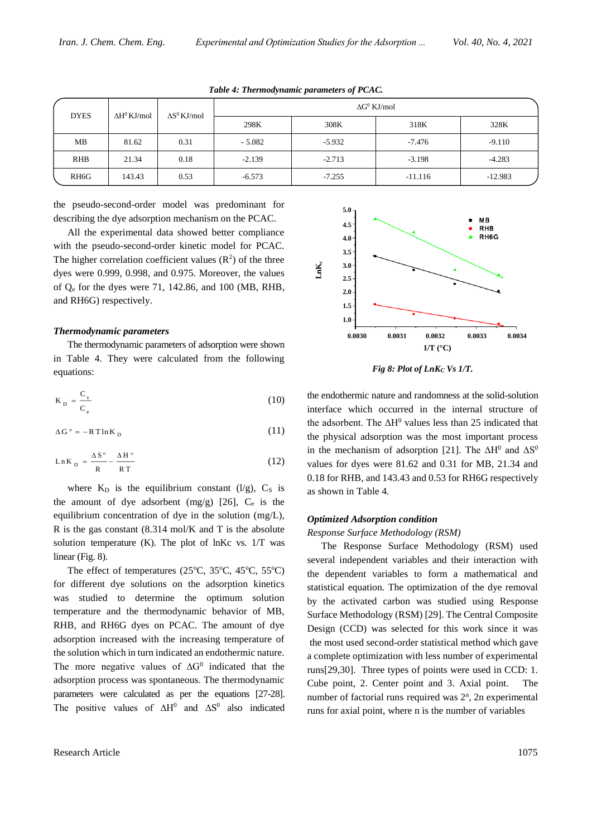| <b>DYES</b> | $\Delta H^0$ KJ/mol | $\Delta S^0$ KJ/mol |          |          | $\Delta G^0$ KJ/mol |           |
|-------------|---------------------|---------------------|----------|----------|---------------------|-----------|
|             |                     |                     | 298K     | 308K     | 318K                | 328K      |
| МB          | 81.62               | 0.31                | $-5.082$ | $-5.932$ | $-7.476$            | $-9.110$  |
| <b>RHB</b>  | 21.34               | 0.18                | $-2.139$ | $-2.713$ | $-3.198$            | $-4.283$  |
| RH6G        | 143.43              | 0.53                | $-6.573$ | $-7.255$ | $-11.116$           | $-12.983$ |

*Table 4: Thermodynamic parameters of PCAC.*

the pseudo-second-order model was predominant for describing the dye adsorption mechanism on the PCAC.

All the experimental data showed better compliance with the pseudo-second-order kinetic model for PCAC. The higher correlation coefficient values  $(R^2)$  of the three dyes were 0.999, 0.998, and 0.975. Moreover, the values of Q<sup>e</sup> for the dyes were 71, 142.86, and 100 (MB, RHB, and RH6G) respectively.

#### *Thermodynamic parameters*

The thermodynamic parameters of adsorption were shown in Table 4. They were calculated from the following equations:

$$
K_{\rm p} = \frac{C_{\rm s}}{C_{\rm e}}\tag{10}
$$

$$
\Delta G^{\circ} = -RT \ln K_{D} \tag{11}
$$

$$
Ln K_{\rm p} = \frac{\Delta S^{\circ}}{R} - \frac{\Delta H^{\circ}}{RT}
$$
 (12)

where  $K_D$  is the equilibrium constant (l/g),  $C_S$  is the amount of dye adsorbent  $(mg/g)$  [26],  $C_e$  is the equilibrium concentration of dye in the solution (mg/L), R is the gas constant (8.314 mol/K and T is the absolute solution temperature (K). The plot of lnKc vs. 1/T was linear (Fig. 8).

The effect of temperatures (25 $\degree$ C, 35 $\degree$ C, 45 $\degree$ C, 55 $\degree$ C) for different dye solutions on the adsorption kinetics was studied to determine the optimum solution temperature and the thermodynamic behavior of MB, RHB, and RH6G dyes on PCAC. The amount of dye adsorption increased with the increasing temperature of the solution which in turn indicated an endothermic nature. The more negative values of  $\Delta G^0$  indicated that the adsorption process was spontaneous. The thermodynamic parameters were calculated as per the equations [27-28]. The positive values of  $\Delta H^0$  and  $\Delta S^0$  also indicated



*Fig 8: Plot of LnK<sup>C</sup> Vs 1/T.*

the endothermic nature and randomness at the solid-solution interface which occurred in the internal structure of the adsorbent. The  $\Delta H^0$  values less than 25 indicated that the physical adsorption was the most important process in the mechanism of adsorption [\[](https://www.sciencedirect.com/science/article/pii/S1878535213003766#!)21]. The  $\Delta H^0$  and  $\Delta S^0$ values for dyes were 81.62 and 0.31 for MB, 21.34 and 0.18 for RHB, and 143.43 and 0.53 for RH6G respectively as shown in Table 4.

## *Optimized Adsorption condition*

#### *Response Surface Methodology (RSM)*

The Response Surface Methodology (RSM) used several independent variables and their interaction with the dependent variables to form a mathematical and statistical equation. The optimization of the dye removal by the activated carbon was studied using Response Surface Methodology (RSM) [29]. The Central Composite Design (CCD) was selected for this work since it was the most used second-order statistical method which gave a complete optimization with less number of experimental runs[29,30]. Three types of points were used in CCD: 1. Cube point, 2. Center point and 3. Axial point. number of factorial runs required was  $2<sup>n</sup>$ , 2n experimental runs for axial point, where n is the number of variables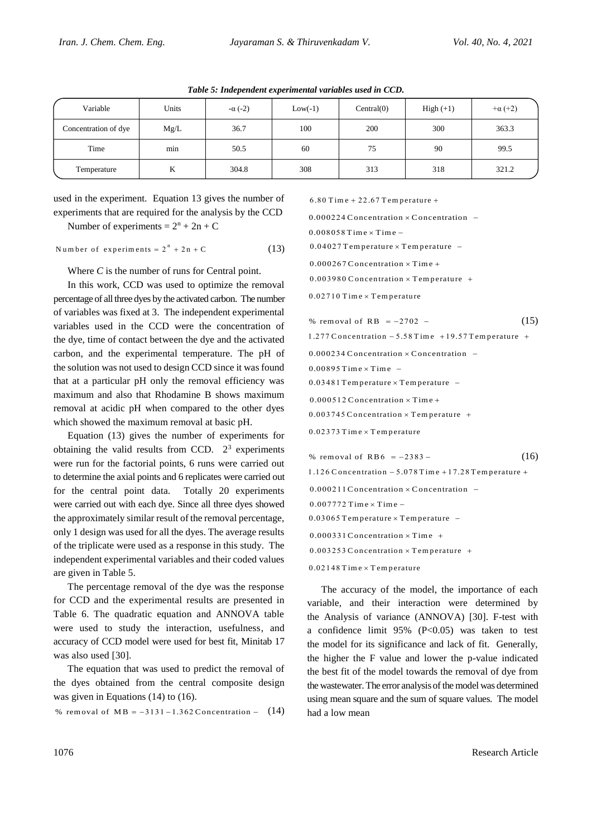| Variable             | Units | $-\alpha (-2)$ | $Low(-1)$ | Central(0) | $High (+1)$ | $+\alpha (+2)$ |
|----------------------|-------|----------------|-----------|------------|-------------|----------------|
| Concentration of dye | Mg/L  | 36.7           | 100       | 200        | 300         | 363.3          |
| Time                 | min   | 50.5           | 60        | 75         | 90          | 99.5           |
| Temperature          | K     | 304.8          | 308       | 313        | 318         | 321.2          |

*Table 5: Independent experimental variables used in CCD.*

used in the experiment. Equation 13 gives the number of experiments that are required for the analysis by the CCD

Number of experiments =  $2^n + 2n + C$ 

Number of experiments =  $2^n + 2n + C$  (13)

Where *C* is the number of runs for Central point.

In this work, CCD was used to optimize the removal percentage of all three dyes by the activated carbon. The number of variables was fixed at 3. The independent experimental variables used in the CCD were the concentration of the dye, time of contact between the dye and the activated carbon, and the experimental temperature. The pH of the solution was not used to design CCD since it was found that at a particular pH only the removal efficiency was maximum and also that Rhodamine B shows maximum removal at acidic pH when compared to the other dyes which showed the maximum removal at basic pH.

Equation (13) gives the number of experiments for obtaining the valid results from CCD.  $2^3$  experiments were run for the factorial points, 6 runs were carried out to determine the axial points and 6 replicates were carried out for the central point data. Totally 20 experiments were carried out with each dye. Since all three dyes showed the approximately similar result of the removal percentage, only 1 design was used for all the dyes. The average results of the triplicate were used as a response in this study. The independent experimental variables and their coded values are given in Table 5.

The percentage removal of the dye was the response for CCD and the experimental results are presented in Table 6. The quadratic equation and ANNOVA table were used to study the interaction, usefulness, and accuracy of CCD model were used for best fit, Minitab 17 was also used [30].

The equation that was used to predict the removal of the dyes obtained from the central composite design was given in Equations (14) to (16).

% removal of  $MB = -3131 - 1.362$  Concentration - (14)

 $6.80$  Time + 22.67 Temperature +

 $0.000224$  Concentration  $\times$  Concentration  $0.008058$  Time  $\times$  Time  $0.04027$  Temperature  $\times$  Temperature  $0.000267$  Concentration  $\times$  Time +  $0.003980$  Concentration  $\times$  T emperature +  $0.02710$  Time  $\times$  Temperature % removal of RB  $= -2702$  – (15)

| $1.277$ Concentration $-5.58$ Time $+19.57$ Temperature +  |      |
|------------------------------------------------------------|------|
| $0.000234$ Concentration $\times$ Concentration –          |      |
| $0.00895$ Time $\times$ Time $-$                           |      |
| $0.03481$ Temperature $\times$ Temperature –               |      |
| $0.000512$ Concentration $\times$ Time +                   |      |
| $0.003745$ Concentration $\times$ Temperature +            |      |
| $0.02373$ Time $\times$ Temperature                        |      |
|                                                            |      |
| % removal of RB6 $= -2383 -$                               | (16) |
| $1.126$ Concentration $-5.078$ Time $+17.28$ Temperature + |      |
| $0.000211$ Concentration $\times$ Concentration –          |      |
| $0.007772$ Time $\times$ Time $-$                          |      |
| $0.03065$ Temperature $\times$ Temperature -               |      |
| $0.000331$ Concentration $\times$ Time +                   |      |

 $0.02148$  Time  $\times$  Temperature

The accuracy of the model, the importance of each variable, and their interaction were determined by the Analysis of variance (ANNOVA) [30]. F-test with a confidence limit  $95\%$  (P<0.05) was taken to test the model for its significance and lack of fit. Generally, the higher the F value and lower the p-value indicated the best fit of the model towards the removal of dye from the wastewater. The error analysis of the model was determined using mean square and the sum of square values. The model had a low mean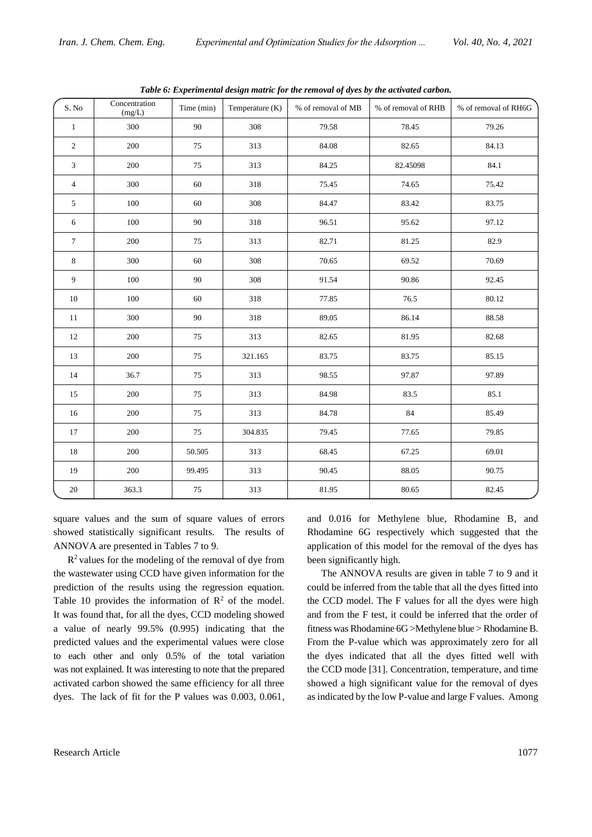| S. No                       | Concentration<br>(mg/L) | Time (min) | Temperature (K) | % of removal of MB | % of removal of RHB | % of removal of RH6G |
|-----------------------------|-------------------------|------------|-----------------|--------------------|---------------------|----------------------|
| $\mathbf{1}$                | 300                     | 90         | 308             | 79.58              | 78.45               | 79.26                |
| $\overline{c}$              | 200                     | 75         | 313             | 84.08              | 82.65               | 84.13                |
| $\ensuremath{\mathfrak{Z}}$ | 200                     | 75         | 313             | 84.25              | 82.45098            | 84.1                 |
| $\overline{4}$              | 300                     | 60         | 318             | 75.45              | 74.65               | 75.42                |
| 5                           | 100                     | 60         | 308             | 84.47              | 83.42               | 83.75                |
| 6                           | 100                     | 90         | 318             | 96.51              | 95.62               | 97.12                |
| $\tau$                      | 200                     | 75         | 313             | 82.71              | 81.25               | 82.9                 |
| $\,$ 8 $\,$                 | 300                     | 60         | 308             | 70.65              | 69.52               | 70.69                |
| $\overline{9}$              | 100                     | 90         | $308\,$         | 91.54              | 90.86               | 92.45                |
| 10                          | 100                     | 60         | 318             | 77.85              | 76.5                | 80.12                |
| 11                          | 300                     | $90\,$     | 318             | 89.05              | 86.14               | 88.58                |
| 12                          | 200                     | 75         | 313             | 82.65              | 81.95               | 82.68                |
| 13                          | 200                     | 75         | 321.165         | 83.75              | 83.75               | 85.15                |
| 14                          | 36.7                    | 75         | 313             | 98.55              | 97.87               | 97.89                |
| 15                          | 200                     | 75         | 313             | 84.98              | 83.5                | 85.1                 |
| $16\,$                      | 200                     | 75         | 313             | 84.78              | 84                  | 85.49                |
| 17                          | 200                     | 75         | 304.835         | 79.45              | 77.65               | 79.85                |
| 18                          | 200                     | 50.505     | 313             | 68.45              | 67.25               | 69.01                |
| 19                          | 200                     | 99.495     | 313             | 90.45              | 88.05               | 90.75                |
| $20\,$                      | 363.3                   | $75\,$     | 313             | 81.95              | 80.65               | 82.45                |

*Table 6: Experimental design matric for the removal of dyes by the activated carbon.*

square values and the sum of square values of errors showed statistically significant results. The results of ANNOVA are presented in Tables 7 to 9.

 $R<sup>2</sup>$  values for the modeling of the removal of dye from the wastewater using CCD have given information for the prediction of the results using the regression equation. Table 10 provides the information of  $\mathbb{R}^2$  of the model. It was found that, for all the dyes, CCD modeling showed a value of nearly 99.5% (0.995) indicating that the predicted values and the experimental values were close to each other and only 0.5% of the total variation was not explained. It was interesting to note that the prepared activated carbon showed the same efficiency for all three dyes. The lack of fit for the P values was 0.003, 0.061,

and 0.016 for Methylene blue, Rhodamine B, and Rhodamine 6G respectively which suggested that the application of this model for the removal of the dyes has been significantly high.

The ANNOVA results are given in table 7 to 9 and it could be inferred from the table that all the dyes fitted into the CCD model. The F values for all the dyes were high and from the F test, it could be inferred that the order of fitness was Rhodamine 6G >Methylene blue > Rhodamine B. From the P-value which was approximately zero for all the dyes indicated that all the dyes fitted well with the CCD mode [31]. Concentration, temperature, and time showed a high significant value for the removal of dyes as indicated by the low P-value and large F values. Among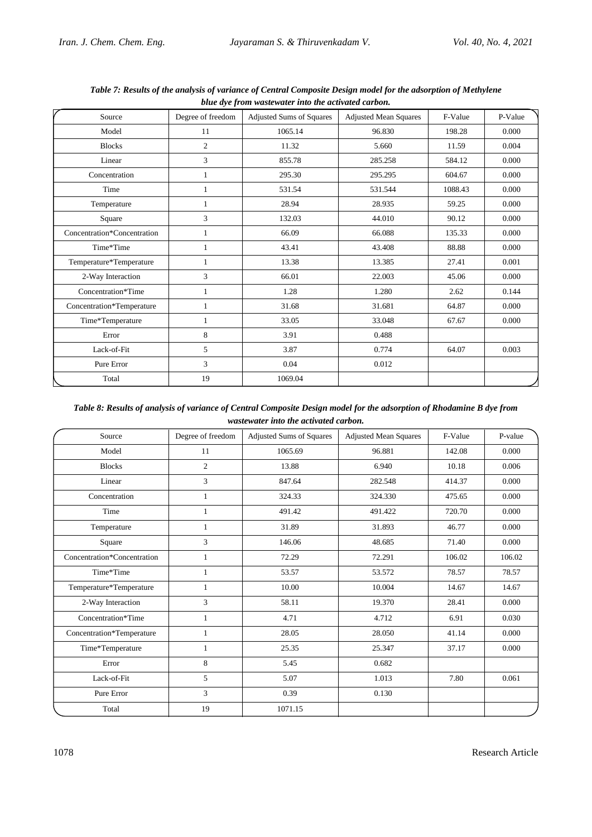| Source                      | Degree of freedom | <b>Adjusted Sums of Squares</b> | <b>Adjusted Mean Squares</b> | F-Value | P-Value |
|-----------------------------|-------------------|---------------------------------|------------------------------|---------|---------|
| Model                       | 11                | 1065.14                         | 96.830                       | 198.28  | 0.000   |
| <b>Blocks</b>               | $\overline{2}$    | 11.32                           | 5.660                        | 11.59   | 0.004   |
| Linear                      | 3                 | 855.78                          | 285.258                      | 584.12  | 0.000   |
| Concentration               | 1                 | 295.30                          | 295.295                      | 604.67  | 0.000   |
| Time                        | 1                 | 531.54                          | 531.544                      | 1088.43 | 0.000   |
| Temperature                 | 1                 | 28.94                           | 28.935                       | 59.25   | 0.000   |
| Square                      | 3                 | 132.03                          | 44.010                       | 90.12   | 0.000   |
| Concentration*Concentration | 1                 | 66.09                           | 66.088                       | 135.33  | 0.000   |
| Time*Time                   | 1                 | 43.41                           | 43.408                       | 88.88   | 0.000   |
| Temperature*Temperature     | 1                 | 13.38                           | 13.385                       | 27.41   | 0.001   |
| 2-Way Interaction           | 3                 | 66.01                           | 22.003                       | 45.06   | 0.000   |
| Concentration*Time          | 1                 | 1.28                            | 1.280                        | 2.62    | 0.144   |
| Concentration*Temperature   | 1                 | 31.68                           | 31.681                       | 64.87   | 0.000   |
| Time*Temperature            | 1                 | 33.05                           | 33.048                       | 67.67   | 0.000   |
| Error                       | 8                 | 3.91                            | 0.488                        |         |         |
| Lack-of-Fit                 | 5                 | 3.87                            | 0.774                        | 64.07   | 0.003   |
| Pure Error                  | 3                 | 0.04                            | 0.012                        |         |         |
| Total                       | 19                | 1069.04                         |                              |         |         |

*Table 7: Results of the analysis of variance of Central Composite Design model for the adsorption of Methylene blue dye from wastewater into the activated carbon.*

*Table 8: Results of analysis of variance of Central Composite Design model for the adsorption of Rhodamine B dye from wastewater into the activated carbon.*

| Source                      | Degree of freedom | Adjusted Sums of Squares | <b>Adjusted Mean Squares</b> | F-Value | P-value |
|-----------------------------|-------------------|--------------------------|------------------------------|---------|---------|
| Model                       | 11                | 1065.69                  | 96.881                       | 142.08  | 0.000   |
| <b>Blocks</b>               | $\overline{2}$    | 13.88                    | 6.940                        | 10.18   | 0.006   |
| Linear                      | 3                 | 847.64                   | 282.548                      | 414.37  | 0.000   |
| Concentration               | $\mathbf{1}$      | 324.33                   | 324.330                      | 475.65  | 0.000   |
| Time                        | $\mathbf{1}$      | 491.42                   | 491.422                      | 720.70  | 0.000   |
| Temperature                 | $\mathbf{1}$      | 31.89                    | 31.893                       | 46.77   | 0.000   |
| Square                      | 3                 | 146.06                   | 48.685                       | 71.40   | 0.000   |
| Concentration*Concentration | 1                 | 72.29                    | 72.291                       | 106.02  | 106.02  |
| Time*Time                   | 1                 | 53.57                    | 53.572                       | 78.57   | 78.57   |
| Temperature*Temperature     | 1                 | 10.00                    | 10.004                       | 14.67   | 14.67   |
| 2-Way Interaction           | 3                 | 58.11                    | 19.370                       | 28.41   | 0.000   |
| Concentration*Time          | 1                 | 4.71                     | 4.712                        | 6.91    | 0.030   |
| Concentration*Temperature   | 1                 | 28.05                    | 28.050                       | 41.14   | 0.000   |
| Time*Temperature            | 1                 | 25.35                    | 25.347                       | 37.17   | 0.000   |
| Error                       | 8                 | 5.45                     | 0.682                        |         |         |
| Lack-of-Fit                 | 5                 | 5.07                     | 1.013                        | 7.80    | 0.061   |
| Pure Error                  | 3                 | 0.39                     | 0.130                        |         |         |
| Total                       | 19                | 1071.15                  |                              |         |         |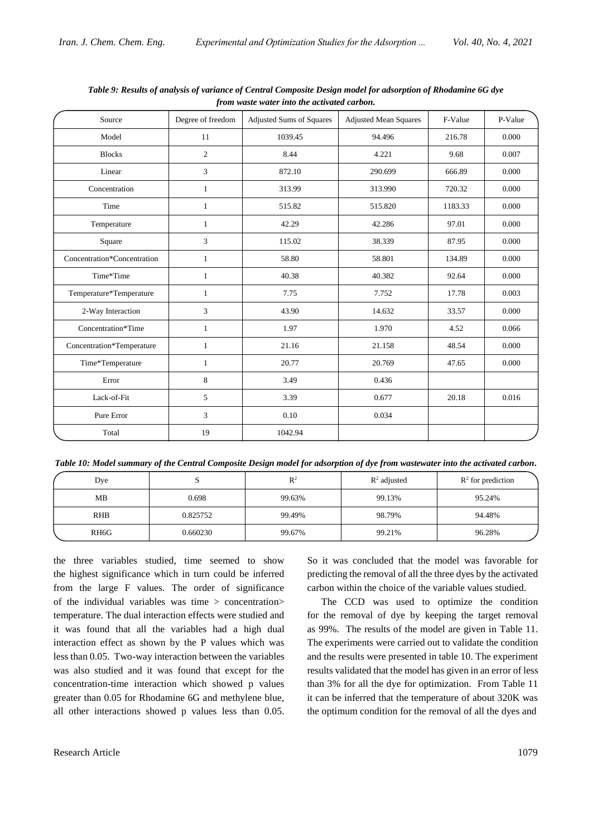| Source                      | Degree of freedom | <b>Adjusted Sums of Squares</b> | <b>Adjusted Mean Squares</b> | F-Value | P-Value |
|-----------------------------|-------------------|---------------------------------|------------------------------|---------|---------|
| Model                       | 11                | 1039.45                         | 94.496                       | 216.78  | 0.000   |
| <b>Blocks</b>               | 2                 | 8.44                            | 4.221                        | 9.68    | 0.007   |
| Linear                      | 3                 | 872.10                          | 290.699                      | 666.89  | 0.000   |
| Concentration               | $\mathbf{1}$      | 313.99                          | 313.990                      | 720.32  | 0.000   |
| Time                        | $\mathbf{1}$      | 515.82                          | 515.820                      | 1183.33 | 0.000   |
| Temperature                 | $\mathbf{1}$      | 42.29                           | 42.286                       | 97.01   | 0.000   |
| Square                      | 3                 | 115.02                          | 38.339                       | 87.95   | 0.000   |
| Concentration*Concentration | $\mathbf{1}$      | 58.80                           | 58.801                       | 134.89  | 0.000   |
| Time*Time                   | $\mathbf{1}$      | 40.38                           | 40.382                       | 92.64   | 0.000   |
| Temperature*Temperature     | 1                 | 7.75                            | 7.752                        | 17.78   | 0.003   |
| 2-Way Interaction           | 3                 | 43.90                           | 14.632                       | 33.57   | 0.000   |
| Concentration*Time          | 1                 | 1.97                            | 1.970                        | 4.52    | 0.066   |
| Concentration*Temperature   | 1                 | 21.16                           | 21.158                       | 48.54   | 0.000   |
| Time*Temperature            | 1                 | 20.77                           | 20.769                       | 47.65   | 0.000   |
| Error                       | 8                 | 3.49                            | 0.436                        |         |         |
| Lack-of-Fit                 | 5                 | 3.39                            | 0.677                        | 20.18   | 0.016   |
| Pure Error                  | 3                 | 0.10                            | 0.034                        |         |         |
| Total                       | 19                | 1042.94                         |                              |         |         |

*Table 9: Results of analysis of variance of Central Composite Design model for adsorption of Rhodamine 6G dye from waste water into the activated carbon.*

*Table 10: Model summary of the Central Composite Design model for adsorption of dye from wastewater into the activated carbon.*

| Dye               | ມ        | $\mathbb{R}^2$ | $\mathbb{R}^2$ adjusted | $\mathbb{R}^2$ for prediction |
|-------------------|----------|----------------|-------------------------|-------------------------------|
| MB                | 0.698    | 99.63%         | 99.13%                  | 95.24%                        |
| <b>RHB</b>        | 0.825752 | 99.49%         | 98.79%                  | 94.48%                        |
| RH <sub>6</sub> G | 0.660230 | 99.67%         | 99.21%                  | 96.28%                        |

the three variables studied, time seemed to show the highest significance which in turn could be inferred from the large F values. The order of significance of the individual variables was time > concentration> temperature. The dual interaction effects were studied and it was found that all the variables had a high dual interaction effect as shown by the P values which was less than 0.05. Two-way interaction between the variables was also studied and it was found that except for the concentration-time interaction which showed p values greater than 0.05 for Rhodamine 6G and methylene blue, all other interactions showed p values less than 0.05.

So it was concluded that the model was favorable for predicting the removal of all the three dyes by the activated carbon within the choice of the variable values studied.

The CCD was used to optimize the condition for the removal of dye by keeping the target removal as 99%. The results of the model are given in Table 11. The experiments were carried out to validate the condition and the results were presented in table 10. The experiment results validated that the model has given in an error of less than 3% for all the dye for optimization. From Table 11 it can be inferred that the temperature of about 320K was the optimum condition for the removal of all the dyes and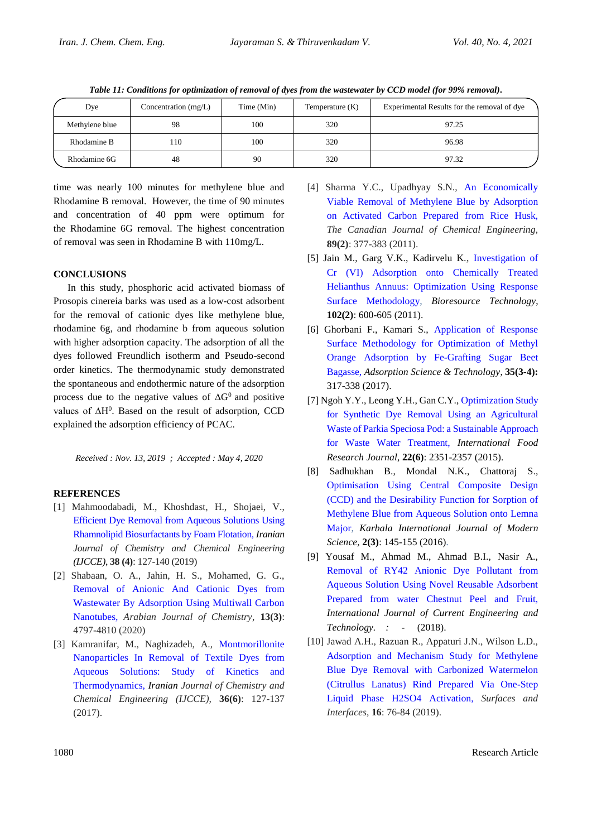| Dye            | Concentration (mg/L) | Time (Min) | Temperature (K) | Experimental Results for the removal of dye |
|----------------|----------------------|------------|-----------------|---------------------------------------------|
| Methylene blue | 98                   | 100        | 320             | 97.25                                       |
| Rhodamine B    | l 10                 | 100        | 320             | 96.98                                       |
| Rhodamine 6G   | 48                   | 90         | 320             | 97.32                                       |

*Table 11: Conditions for optimization of removal of dyes from the wastewater by CCD model (for 99% removal).*

time was nearly 100 minutes for methylene blue and Rhodamine B removal. However, the time of 90 minutes and concentration of 40 ppm were optimum for the Rhodamine 6G removal. The highest concentration of removal was seen in Rhodamine B with 110mg/L.

## **CONCLUSIONS**

In this study, phosphoric acid activated biomass of Prosopis cinereia barks was used as a low-cost adsorbent for the removal of cationic dyes like methylene blue, rhodamine 6g, and rhodamine b from aqueous solution with higher adsorption capacity. The adsorption of all the dyes followed Freundlich isotherm and Pseudo-second order kinetics. The thermodynamic study demonstrated the spontaneous and endothermic nature of the adsorption process due to the negative values of  $\Delta G^0$  and positive values of ∆H<sup>0</sup>. Based on the result of adsorption, CCD explained the adsorption efficiency of PCAC.

*Received : Nov. 13, 2019 ; Accepted : May 4, 2020*

## **REFERENCES**

- [1] Mahmoodabadi, M., Khoshdast, H., Shojaei, V., [Efficient Dye Removal from Aqueous Solutions Using](https://iranjournals.nlai.ir/1295/article_637841_4136f32a1a6ae720bf1af69c120f928f.pdf)  [Rhamnolipid Biosurfactants](https://iranjournals.nlai.ir/1295/article_637841_4136f32a1a6ae720bf1af69c120f928f.pdf) by Foam Flotation*, Iranian Journal of Chemistry and Chemical Engineering (IJCCE)*, **38 (4)**: 127-140 (2019)
- [2] Shabaan, O. A., Jahin, H. S., Mohamed, G. G., [Removal of Anionic And Cationic Dyes from](https://www.sciencedirect.com/science/article/pii/S1878535220300149)  [Wastewater By Adsorption Using Multiwall Carbon](https://www.sciencedirect.com/science/article/pii/S1878535220300149)  [Nanotubes](https://www.sciencedirect.com/science/article/pii/S1878535220300149)*, Arabian Journal of Chemistry*, **13(3)**: 4797-4810 (2020)
- [3] Kamranifar, M., Naghizadeh, A., [Montmorillonite](http://www.ijcce.ac.ir/article_27402.html)  [Nanoparticles In Removal of Textile Dyes from](http://www.ijcce.ac.ir/article_27402.html)  [Aqueous Solutions: Study of Kinetics and](http://www.ijcce.ac.ir/article_27402.html)  [Thermodynamics,](http://www.ijcce.ac.ir/article_27402.html) *Iranian Journal of Chemistry and Chemical Engineering (IJCCE),* **36(6)**: 127-137 (2017).
- [4] Sharma Y.C., Upadhyay S.N., [An Economically](https://onlinelibrary.wiley.com/doi/abs/10.1002/cjce.20393)  [Viable Removal of Methylene Blue by Adsorption](https://onlinelibrary.wiley.com/doi/abs/10.1002/cjce.20393)  [on Activated Carbon Prepared from Rice Husk,](https://onlinelibrary.wiley.com/doi/abs/10.1002/cjce.20393)  *The Canadian Journal of Chemical Engineering,* **89(2)**: 377-383 (2011).
- [5] Jain M., Garg V.K., Kadirvelu K*.,* [Investigation of](https://www.sciencedirect.com/science/article/pii/S0960852410013350)  [Cr \(VI\) Adsorption onto Chemically Treated](https://www.sciencedirect.com/science/article/pii/S0960852410013350)  [Helianthus Annuus: Optimization Using Response](https://www.sciencedirect.com/science/article/pii/S0960852410013350)  [Surface Methodology](https://www.sciencedirect.com/science/article/pii/S0960852410013350)*, Bioresource Technology*, **102(2)**: 600-605 (2011).
- [6] Ghorbani F., Kamari S., [Application of Response](https://journals.sagepub.com/doi/abs/10.1177/0263617416675625)  [Surface Methodology for Optimization of Methyl](https://journals.sagepub.com/doi/abs/10.1177/0263617416675625)  [Orange Adsorption by Fe-Grafting Sugar Beet](https://journals.sagepub.com/doi/abs/10.1177/0263617416675625)  [Bagasse,](https://journals.sagepub.com/doi/abs/10.1177/0263617416675625) *Adsorption Science & Technology*, **35(3-4):**  317-338 (2017).
- [7] Ngoh Y.Y., Leong Y.H., Gan C.Y., [Optimization Study](http://ifrj.upm.edu.my/22%20(06)%202015/(25).pdf)  [for Synthetic Dye Removal Using an Agricultural](http://ifrj.upm.edu.my/22%20(06)%202015/(25).pdf)  [Waste of Parkia Speciosa Pod: a](http://ifrj.upm.edu.my/22%20(06)%202015/(25).pdf) Sustainable Approach [for Waste Water Treatment,](http://ifrj.upm.edu.my/22%20(06)%202015/(25).pdf) *International Food Research Journal*, **22(6)**: 2351-2357 (2015).
- [8] Sadhukhan B., Mondal N.K., Chattoraj S., [Optimisation Using Central Composite Design](https://www.sciencedirect.com/science/article/pii/S2405609X15301408)  [\(CCD\) and the Desirability Function for Sorption of](https://www.sciencedirect.com/science/article/pii/S2405609X15301408)  [Methylene Blue from Aqueous Solution onto Lemna](https://www.sciencedirect.com/science/article/pii/S2405609X15301408)  [Major,](https://www.sciencedirect.com/science/article/pii/S2405609X15301408) *Karbala International Journal of Modern Science,* **2(3)**: 145-155 (2016)*.*
- [9] Yousaf M., Ahmad M., Ahmad B.I., Nasir A., [Removal of RY42 Anionic Dye Pollutant from](https://pdfs.semanticscholar.org/08b9/f345d8679133c938ca6bfba94aae006e3bfd.pdf)  [Aqueous Solution Using Novel Reusable Adsorbent](https://pdfs.semanticscholar.org/08b9/f345d8679133c938ca6bfba94aae006e3bfd.pdf)  [Prepared from water Chestnut Peel and Fruit](https://pdfs.semanticscholar.org/08b9/f345d8679133c938ca6bfba94aae006e3bfd.pdf)*, International Journal of Current Engineering and Technology. : -* (2018).
- [10] Jawad A.H., Razuan R., Appaturi J.N., Wilson L.D., [Adsorption and Mechanism Study for Methylene](https://scholar.google.com/scholar?cluster=14698901647542540998&hl=en&as_sdt=2005&sciodt=0,5&scioq=Adsorption+and+mechanism+study+for+methylene+blue+dye+removal+with+carbonized+watermelon+(Citrullus+lanatus)+rind+prepared+via+one-step+liquid+phase+H2SO4+ac)  [Blue Dye Removal with Carbonized Watermelon](https://scholar.google.com/scholar?cluster=14698901647542540998&hl=en&as_sdt=2005&sciodt=0,5&scioq=Adsorption+and+mechanism+study+for+methylene+blue+dye+removal+with+carbonized+watermelon+(Citrullus+lanatus)+rind+prepared+via+one-step+liquid+phase+H2SO4+ac)  [\(Citrullus Lanatus\) Rind Prepared Via One-Step](https://scholar.google.com/scholar?cluster=14698901647542540998&hl=en&as_sdt=2005&sciodt=0,5&scioq=Adsorption+and+mechanism+study+for+methylene+blue+dye+removal+with+carbonized+watermelon+(Citrullus+lanatus)+rind+prepared+via+one-step+liquid+phase+H2SO4+ac)  [Liquid Phase H2SO4 Activation,](https://scholar.google.com/scholar?cluster=14698901647542540998&hl=en&as_sdt=2005&sciodt=0,5&scioq=Adsorption+and+mechanism+study+for+methylene+blue+dye+removal+with+carbonized+watermelon+(Citrullus+lanatus)+rind+prepared+via+one-step+liquid+phase+H2SO4+ac) *Surfaces and Interfaces*, **16**: 76-84 (2019).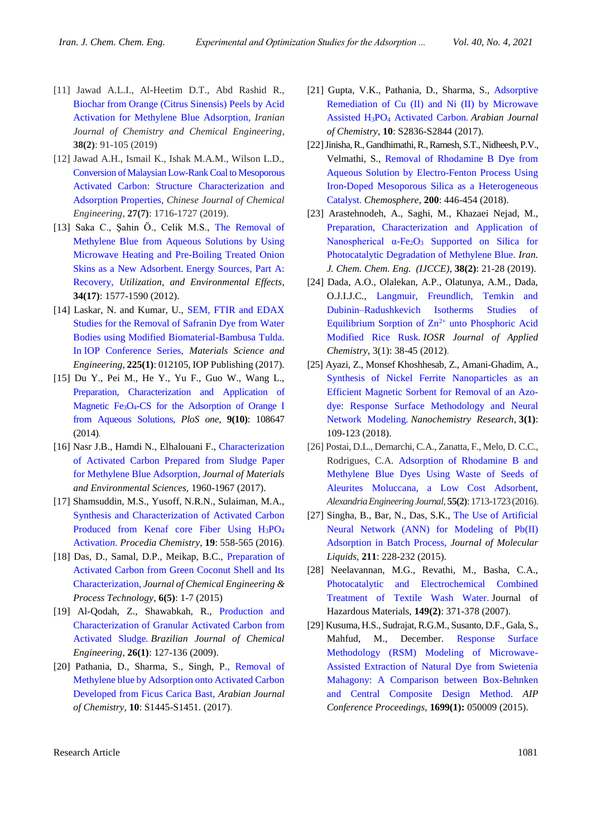- [11] Jawad A.L.I., Al-Heetim D.T., Abd Rashid R., [Biochar from Orange \(Citrus Sinensis\) Peels by Acid](https://iranjournals.nlai.ir/1295/pdf_615573_24b8360a315de998bff1fd6f265cd6bd.html)  [Activation for Methylene Blue Adsorption,](https://iranjournals.nlai.ir/1295/pdf_615573_24b8360a315de998bff1fd6f265cd6bd.html) *Iranian Journal of Chemistry and Chemical Engineering*, **38(2)**: 91-105 (2019)
- [12] Jawad A.H., Ismail K., Ishak M.A.M., Wilson L.D., [Conversion of Malaysian Low-Rank Coal to Mesoporous](https://www.sciencedirect.com/science/article/pii/S1004954118307328) [Activated Carbon: Structure Characterization and](https://www.sciencedirect.com/science/article/pii/S1004954118307328)  [Adsorption Properties,](https://www.sciencedirect.com/science/article/pii/S1004954118307328) *Chinese Journal of Chemical Engineering*, **27(7)**: 1716-1727 (2019).
- [13] Saka C., Şahin Ö., Celik M.S., [The Removal](file:///C:/Users/s-mirhosseini/Downloads/SEM,%20FTIR%20and%20EDAX%20Studies%20for%20the%20Removal%20of%20Safranin%20Dye%20from%20Water%20Bodies%20using%20Modified%20Biomaterial-Bambusa%20Tulda.%20In%20IOP%20Conference%20Series) of [Methylene Blue from Aqueous Solutions by Using](file:///C:/Users/s-mirhosseini/Downloads/SEM,%20FTIR%20and%20EDAX%20Studies%20for%20the%20Removal%20of%20Safranin%20Dye%20from%20Water%20Bodies%20using%20Modified%20Biomaterial-Bambusa%20Tulda.%20In%20IOP%20Conference%20Series)  [Microwave Heating and Pre-Boiling Treated Onion](file:///C:/Users/s-mirhosseini/Downloads/SEM,%20FTIR%20and%20EDAX%20Studies%20for%20the%20Removal%20of%20Safranin%20Dye%20from%20Water%20Bodies%20using%20Modified%20Biomaterial-Bambusa%20Tulda.%20In%20IOP%20Conference%20Series)  Skins as a New Adsorbent. [Energy Sources, Part A:](file:///C:/Users/s-mirhosseini/Downloads/SEM,%20FTIR%20and%20EDAX%20Studies%20for%20the%20Removal%20of%20Safranin%20Dye%20from%20Water%20Bodies%20using%20Modified%20Biomaterial-Bambusa%20Tulda.%20In%20IOP%20Conference%20Series)  [Recovery,](file:///C:/Users/s-mirhosseini/Downloads/SEM,%20FTIR%20and%20EDAX%20Studies%20for%20the%20Removal%20of%20Safranin%20Dye%20from%20Water%20Bodies%20using%20Modified%20Biomaterial-Bambusa%20Tulda.%20In%20IOP%20Conference%20Series) *Utilization, and Environmental Effects*, **34(17)**: 1577-1590 (2012).
- [14] Laskar, N. and Kumar, U., [SEM, FTIR and EDAX](https://iopscience.iop.org/article/10.1088/1757-899X/225/1/012105/meta)  [Studies for the Removal of Safranin Dye from Water](https://iopscience.iop.org/article/10.1088/1757-899X/225/1/012105/meta)  [Bodies using Modified Biomaterial-Bambusa Tulda.](https://iopscience.iop.org/article/10.1088/1757-899X/225/1/012105/meta)  In [IOP Conference Series,](https://iopscience.iop.org/article/10.1088/1757-899X/225/1/012105/meta) *Materials Science and Engineering*, **225(1)**: 012105, IOP Publishing (2017).
- [15] Du Y., Pei M., He Y., Yu F., Guo W., Wang L., [Preparation, Characterization and Application of](https://journals.plos.org/plosone/article/file?type=printable&id=10.1371/journal.pone.0108647)  Magnetic Fe3O4[-CS for the Adsorption of Orange I](https://journals.plos.org/plosone/article/file?type=printable&id=10.1371/journal.pone.0108647)  [from Aqueous Solutions](https://journals.plos.org/plosone/article/file?type=printable&id=10.1371/journal.pone.0108647)*, PloS one,* **9(10)**: 108647 (2014)*.*
- [16] Nasr J.B., Hamdi N., Elhalouani F., [Characterization](https://www.jmaterenvironsci.com/Document/vol8/vol8_N6/208-JMES-2572-Ben%20Nasr.pdf)  [of Activated Carbon Prepared from Sludge Paper](https://www.jmaterenvironsci.com/Document/vol8/vol8_N6/208-JMES-2572-Ben%20Nasr.pdf)  [for Methylene Blue Adsorption,](https://www.jmaterenvironsci.com/Document/vol8/vol8_N6/208-JMES-2572-Ben%20Nasr.pdf) *Journal of Materials and Environmental Sciences,* 1960-1967 (2017).
- [17] Shamsuddin, M.S., Yusoff, N.R.N., Sulaiman, M.A., [Synthesis and Characterization of Activated Carbon](https://www.sciencedirect.com/science/article/pii/S1876619616000991)  [Produced from Kenaf core Fiber Using H](https://www.sciencedirect.com/science/article/pii/S1876619616000991)3PO<sup>4</sup> [Activatio](https://www.sciencedirect.com/science/article/pii/S1876619616000991)*n. Procedia Chemistry*, **19**: 558-565 (2016)*.*
- [18] Das, D., Samal, D.P., Meikap, B.C., [Preparation of](https://pdfs.semanticscholar.org/4a3f/8515146931dc3caebda4ea380236c92b6596.pdf)  [Activated Carbon from Green Coconut Shell and Its](https://pdfs.semanticscholar.org/4a3f/8515146931dc3caebda4ea380236c92b6596.pdf)  [Characterization,](https://pdfs.semanticscholar.org/4a3f/8515146931dc3caebda4ea380236c92b6596.pdf) *Journal of Chemical Engineering & Process Technology*, **6(5)**: 1-7 (2015)
- [19] Al-Qodah, Z., Shawabkah, R., [Production and](http://www.scielo.br/scielo.php?pid=S0104-66322009000100012&script=sci_arttext)  [Characterization of Granular Activated Carbon from](http://www.scielo.br/scielo.php?pid=S0104-66322009000100012&script=sci_arttext)  [Activated Sludge](http://www.scielo.br/scielo.php?pid=S0104-66322009000100012&script=sci_arttext)*. Brazilian Journal of Chemical Engineering*, **26(1)**: 127-136 (2009).
- [20] Pathania, D., Sharma, S., Singh, P*.,* [Removal of](https://www.sciencedirect.com/science/article/pii/S187853521300110X)  [Methylene blue by Adsorption onto Activated Carbon](https://www.sciencedirect.com/science/article/pii/S187853521300110X)  [Developed from Ficus Carica Bast,](https://www.sciencedirect.com/science/article/pii/S187853521300110X) *Arabian Journal of Chemistry,* **10**: S1445-S1451. (2017)*.*
- [21] Gupta, V.K., Pathania, D., Sharma, S., [Adsorptive](https://www.sciencedirect.com/science/article/pii/S1878535213003766)  [Remediation of Cu \(II\) and Ni \(II\) by Microwave](https://www.sciencedirect.com/science/article/pii/S1878535213003766)  Assisted H3PO<sup>4</sup> [Activated Carbon](https://www.sciencedirect.com/science/article/pii/S1878535213003766)*. Arabian Journal of Chemistry*, **10**: S2836-S2844 (2017).
- [22] Jinisha, R., Gandhimathi, R., Ramesh, S.T., Nidheesh, P.V., Velmathi, S., [Removal of Rhodamine B Dye from](https://www.sciencedirect.com/science/article/pii/S0045653518303291)  [Aqueous Solution by Electro-Fenton Process Using](https://www.sciencedirect.com/science/article/pii/S0045653518303291)  [Iron-Doped Mesoporous Silica as a Heterogeneous](https://www.sciencedirect.com/science/article/pii/S0045653518303291)  [Catalyst.](https://www.sciencedirect.com/science/article/pii/S0045653518303291) *Chemosphere*, **200**: 446-454 (2018).
- [23] Arastehnodeh, A., Saghi, M., Khazaei Nejad, M., [Preparation, Characterization and Application of](https://www.sid.ir/FileServer/JE/84320190202)  Nanospherical  $\alpha$ -Fe<sub>2</sub>O<sub>3</sub> Supported on Silica for [Photocatalytic Degradation of Methylene Blue](https://www.sid.ir/FileServer/JE/84320190202)*. Iran. J. Chem. Chem. Eng. (IJCCE)*, **38(2)**: 21-28 (2019).
- [24] Dada, A.O., Olalekan, A.P., Olatunya, A.M., Dada, O.J.I.J.C., [Langmuir, Freundlich, Temkin and](https://www.researchgate.net/profile/Qhatan_Yousif/post/In_Langmuir_isotherm-Ce_Qe_vs_Ce_How_do_I_find_Ce_Ce_is_eqlbm_conc_mg_l_of_adsorbate_To_plot_graph_we_need_many_values_of_Ce_how_to_find_it/attachment/59d6583779197b80779ae3a7/AS:537623073693697@15051)  [Dubinin–Radushkevich Isotherms Studies of](https://www.researchgate.net/profile/Qhatan_Yousif/post/In_Langmuir_isotherm-Ce_Qe_vs_Ce_How_do_I_find_Ce_Ce_is_eqlbm_conc_mg_l_of_adsorbate_To_plot_graph_we_need_many_values_of_Ce_how_to_find_it/attachment/59d6583779197b80779ae3a7/AS:537623073693697@15051)  Equilibrium Sorption of  $Zn^{2+}$  unto Phosphoric Acid [Modified Rice Rusk](https://www.researchgate.net/profile/Qhatan_Yousif/post/In_Langmuir_isotherm-Ce_Qe_vs_Ce_How_do_I_find_Ce_Ce_is_eqlbm_conc_mg_l_of_adsorbate_To_plot_graph_we_need_many_values_of_Ce_how_to_find_it/attachment/59d6583779197b80779ae3a7/AS:537623073693697@15051)*. IOSR Journal of Applied Chemistry*, 3(1): 38-45 (2012).
- [25] Ayazi, Z., Monsef Khoshhesab, Z., Amani-Ghadim, A., [Synthesis of Nickel Ferrite Nanoparticles as an](http://www.nanochemres.org/article_66170.html)  [Efficient Magnetic Sorbent for Removal of an Azo](http://www.nanochemres.org/article_66170.html)[dye: Response Surface Methodology and Neural](http://www.nanochemres.org/article_66170.html)  [Network Modeling](http://www.nanochemres.org/article_66170.html)*. Nanochemistry Research*, **3(1)**: 109-123 (2018).
- [26] Postai, D.L., Demarchi, C.A., Zanatta, F., Melo, D. C.C., Rodrigues, C.A. [Adsorption of Rhodamine B and](https://www.sciencedirect.com/science/article/pii/S1110016816300308)  [Methylene Blue Dyes Using Waste of Seeds of](https://www.sciencedirect.com/science/article/pii/S1110016816300308)  [Aleurites Moluccana, a Low Cost Adsorbent,](https://www.sciencedirect.com/science/article/pii/S1110016816300308) *Alexandria Engineering Journal,* **55(2)**: 1713-1723 (2016).
- [27] Singha, B., Bar, N., Das, S.K., [The Use of Artificial](https://www.sciencedirect.com/science/article/pii/S0167732215302099)  [Neural Network \(ANN\) for Modeling of Pb\(II\)](https://www.sciencedirect.com/science/article/pii/S0167732215302099)  [Adsorption in Batch Process,](https://www.sciencedirect.com/science/article/pii/S0167732215302099) *Journal of Molecular Liquids,* **211**: 228-232 (2015).
- [28] Neelavannan, M.G., Revathi, M., Basha, C.A., [Photocatalytic and Electrochemical Combined](https://www.sciencedirect.com/science/article/pii/S030438940700458X)  [Treatment of Textile Wash Water.](https://www.sciencedirect.com/science/article/pii/S030438940700458X) Journal of Hazardous Materials, **149(2)**: 371-378 (2007).
- [29] Kusuma, H.S., Sudrajat, R.G.M., Susanto, D.F., Gala, S., Mahfud, M., December. [Response Surface](https://aip.scitation.org/doi/abs/10.1063/1.4938345)  [Methodology \(RSM\) Modeling of Microwave-](https://aip.scitation.org/doi/abs/10.1063/1.4938345)[Assisted Extraction of Natural Dye from Swietenia](https://aip.scitation.org/doi/abs/10.1063/1.4938345)  [Mahagony: A Comparison between Box-Behnken](https://aip.scitation.org/doi/abs/10.1063/1.4938345)  [and Central Composite Design Method.](https://aip.scitation.org/doi/abs/10.1063/1.4938345) *AIP Conference Proceedings,* **1699(1):** 050009 (2015).